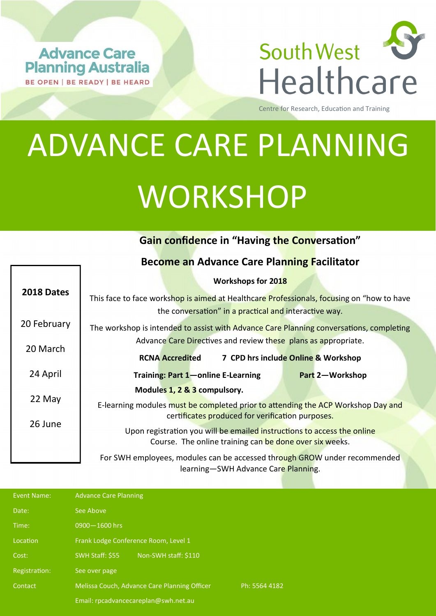**Advance Care Planning Australia** BE OPEN | BE READY | BE HEARD



Centre for Research, Education and Training

## ADVANCE CARE PLANNING **WORKSHOP**

## **Gain confidence in "Having the Conversation"**

| <b>Become an Advance Care Planning Facilitator</b>                                                               |                                                                                                                                                    |  |  |  |
|------------------------------------------------------------------------------------------------------------------|----------------------------------------------------------------------------------------------------------------------------------------------------|--|--|--|
| 2018 Dates                                                                                                       | Workshops for 2018                                                                                                                                 |  |  |  |
|                                                                                                                  | This face to face workshop is aimed at Healthcare Professionals, focusing on "how to have<br>the conversation" in a practical and interactive way. |  |  |  |
| 20 February                                                                                                      | The workshop is intended to assist with Advance Care Planning conversations, completing                                                            |  |  |  |
| 20 March                                                                                                         | Advance Care Directives and review these plans as appropriate.                                                                                     |  |  |  |
|                                                                                                                  | <b>RCNA Accredited</b><br>7 CPD hrs include Online & Workshop                                                                                      |  |  |  |
| 24 April                                                                                                         | Training: Part 1-online E-Learning<br>Part 2-Workshop                                                                                              |  |  |  |
| 22 May<br>26 June                                                                                                | Modules 1, 2 & 3 compulsory.                                                                                                                       |  |  |  |
|                                                                                                                  | E-learning modules must be completed prior to attending the ACP Workshop Day and<br>certificates produced for verification purposes.               |  |  |  |
|                                                                                                                  | Upon registration you will be emailed instructions to access the online<br>Course. The online training can be done over six weeks.                 |  |  |  |
| For SWH employees, modules can be accessed through GROW under recommended<br>learning-SWH Advance Care Planning. |                                                                                                                                                    |  |  |  |

| Event Name:   | <b>Advance Care Planning</b>                 |               |
|---------------|----------------------------------------------|---------------|
| Date:         | See Above                                    |               |
| Time:         | 0900-1600 hrs                                |               |
| Location      | Frank Lodge Conference Room, Level 1         |               |
| Cost:         | SWH Staff: \$55<br>Non-SWH staff: \$110      |               |
| Registration: | See over page                                |               |
| Contact       | Melissa Couch, Advance Care Planning Officer | Ph: 5564 4182 |
|               | Email: rpcadvancecareplan@swh.net.au         |               |